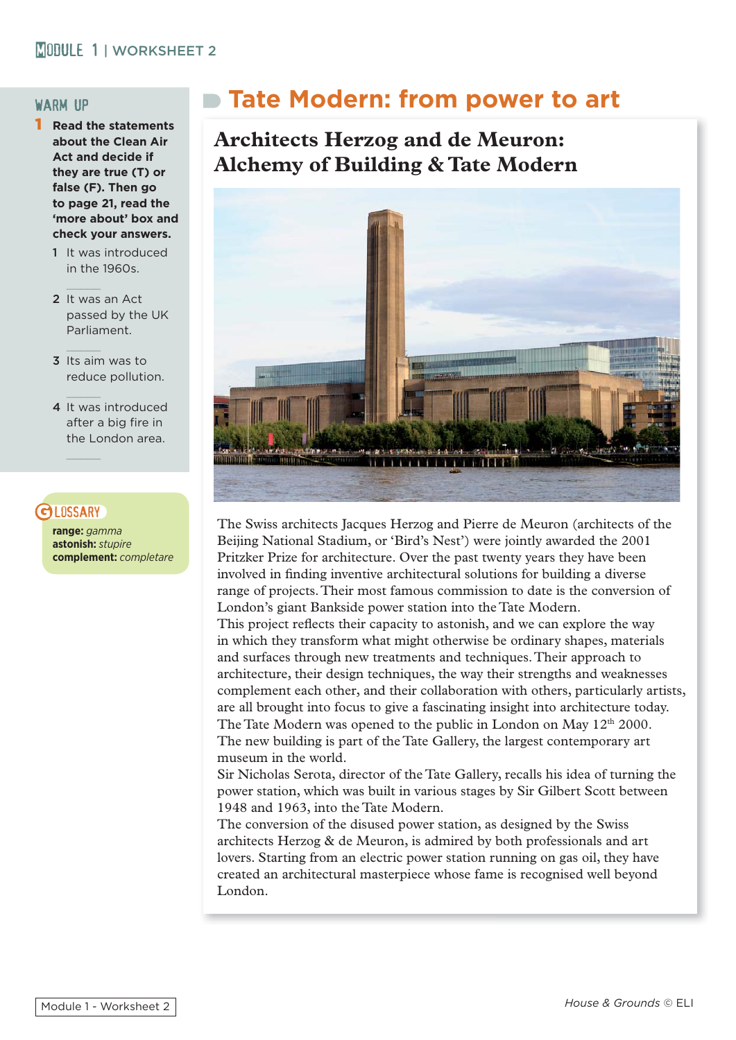#### **MODULE 1 | WORKSHEET 2**

#### warm up

- 1 **Read the statements about the Clean Air Act and decide if they are true (T) or false (F). Then go to page 21, read the 'more about' box and check your answers.** 
	- 1 It was introduced  $in$  the 1960s.
	- 2 It was an Act passed by the UK Parliament.
	- 3 Its aim was to reduce pollution.
	- 4 It was introduced after a big fire in the London area.

#### **D** LOSSARY

 $\mathcal{L}=\mathcal{L}=\mathcal{L}$ 

 $\mathcal{L}=\mathcal{L}=\mathcal{L}$ 

**range:** *gamma* **astonish:** *stupire* **complement:** *completare*

# **Tate Modern: from power to art**

## **Architects Herzog and de Meuron: Alchemy of Building & Tate Modern**



The Swiss architects Jacques Herzog and Pierre de Meuron (architects of the Beijing National Stadium, or 'Bird's Nest') were jointly awarded the 2001 Pritzker Prize for architecture. Over the past twenty years they have been involved in finding inventive architectural solutions for building a diverse range of projects. Their most famous commission to date is the conversion of London's giant Bankside power station into the Tate Modern.

This project reflects their capacity to astonish, and we can explore the way in which they transform what might otherwise be ordinary shapes, materials and surfaces through new treatments and techniques. Their approach to architecture, their design techniques, the way their strengths and weaknesses complement each other, and their collaboration with others, particularly artists, are all brought into focus to give a fascinating insight into architecture today. The Tate Modern was opened to the public in London on May  $12<sup>th</sup> 2000$ . The new building is part of the Tate Gallery, the largest contemporary art museum in the world.

Sir Nicholas Serota, director of the Tate Gallery, recalls his idea of turning the power station, which was built in various stages by Sir Gilbert Scott between 1948 and 1963, into the Tate Modern.

The conversion of the disused power station, as designed by the Swiss architects Herzog & de Meuron, is admired by both professionals and art lovers. Starting from an electric power station running on gas oil, they have created an architectural masterpiece whose fame is recognised well beyond London.